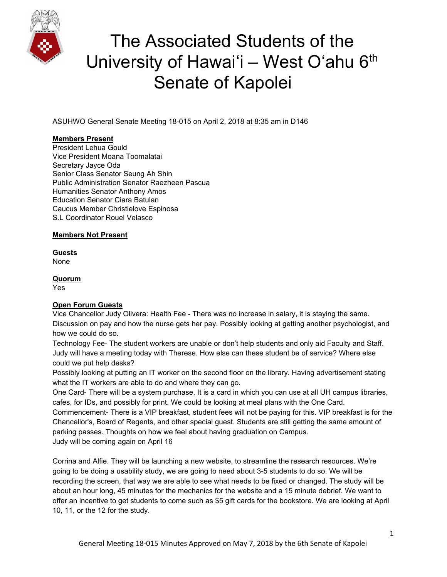

ASUHWO General Senate Meeting 18-015 on April 2, 2018 at 8:35 am in D146

## **Members Present**

President Lehua Gould Vice President Moana Toomalatai Secretary Jayce Oda Senior Class Senator Seung Ah Shin Public Administration Senator Raezheen Pascua Humanities Senator Anthony Amos Education Senator Ciara Batulan Caucus Member Christielove Espinosa S.L Coordinator Rouel Velasco

## **Members Not Present**

**Guests** None

## **Quorum**

Yes

## **Open Forum Guests**

Vice Chancellor Judy Olivera: Health Fee - There was no increase in salary, it is staying the same. Discussion on pay and how the nurse gets her pay. Possibly looking at getting another psychologist, and how we could do so.

Technology Fee- The student workers are unable or don't help students and only aid Faculty and Staff. Judy will have a meeting today with Therese. How else can these student be of service? Where else could we put help desks?

Possibly looking at putting an IT worker on the second floor on the library. Having advertisement stating what the IT workers are able to do and where they can go.

One Card- There will be a system purchase. It is a card in which you can use at all UH campus libraries, cafes, for IDs, and possibly for print. We could be looking at meal plans with the One Card.

Commencement- There is a VIP breakfast, student fees will not be paying for this. VIP breakfast is for the Chancellor's, Board of Regents, and other special guest. Students are still getting the same amount of parking passes. Thoughts on how we feel about having graduation on Campus. Judy will be coming again on April 16

Corrina and Alfie. They will be launching a new website, to streamline the research resources. We're going to be doing a usability study, we are going to need about 3-5 students to do so. We will be recording the screen, that way we are able to see what needs to be fixed or changed. The study will be about an hour long, 45 minutes for the mechanics for the website and a 15 minute debrief. We want to offer an incentive to get students to come such as \$5 gift cards for the bookstore. We are looking at April 10, 11, or the 12 for the study.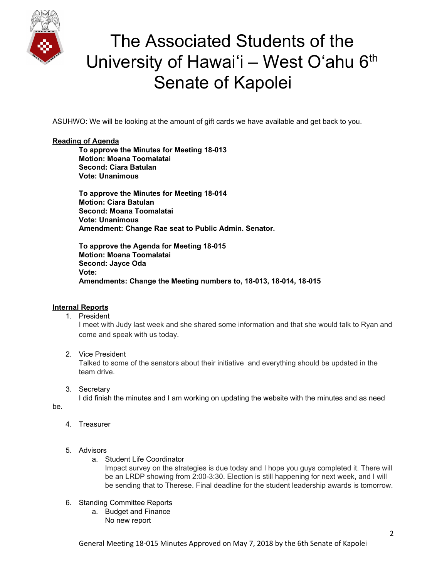

ASUHWO: We will be looking at the amount of gift cards we have available and get back to you.

#### **Reading of Agenda**

**To approve the Minutes for Meeting 18-013 Motion: Moana Toomalatai Second: Ciara Batulan Vote: Unanimous**

**To approve the Minutes for Meeting 18-014 Motion: Ciara Batulan Second: Moana Toomalatai Vote: Unanimous Amendment: Change Rae seat to Public Admin. Senator.**

**To approve the Agenda for Meeting 18-015 Motion: Moana Toomalatai Second: Jayce Oda Vote: Amendments: Change the Meeting numbers to, 18-013, 18-014, 18-015**

## **Internal Reports**

1. President

I meet with Judy last week and she shared some information and that she would talk to Ryan and come and speak with us today.

2. Vice President

Talked to some of the senators about their initiative and everything should be updated in the team drive.

3. Secretary

I did finish the minutes and I am working on updating the website with the minutes and as need

be.

- 4. Treasurer
- 5. Advisors
	- a. Student Life Coordinator

Impact survey on the strategies is due today and I hope you guys completed it. There will be an LRDP showing from 2:00-3:30. Election is still happening for next week, and I will be sending that to Therese. Final deadline for the student leadership awards is tomorrow.

- 6. Standing Committee Reports
	- a. Budget and Finance No new report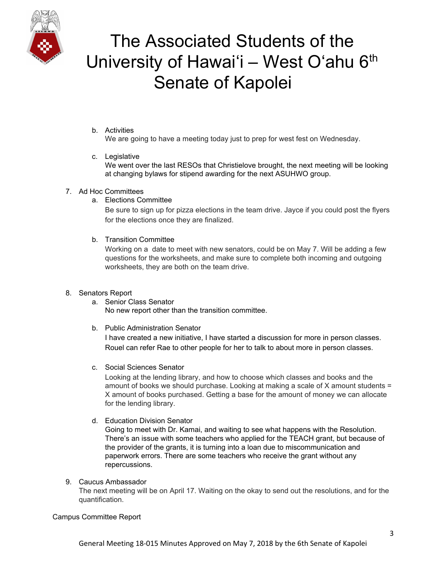

b. Activities

We are going to have a meeting today just to prep for west fest on Wednesday.

c. Legislative

We went over the last RESOs that Christielove brought, the next meeting will be looking at changing bylaws for stipend awarding for the next ASUHWO group.

## 7. Ad Hoc Committees

a. Elections Committee

Be sure to sign up for pizza elections in the team drive. Jayce if you could post the flyers for the elections once they are finalized.

b. Transition Committee

Working on a date to meet with new senators, could be on May 7. Will be adding a few questions for the worksheets, and make sure to complete both incoming and outgoing worksheets, they are both on the team drive.

## 8. Senators Report

- a. Senior Class Senator No new report other than the transition committee.
- b. Public Administration Senator I have created a new initiative, I have started a discussion for more in person classes. Rouel can refer Rae to other people for her to talk to about more in person classes.
- c. Social Sciences Senator

Looking at the lending library, and how to choose which classes and books and the amount of books we should purchase. Looking at making a scale of  $X$  amount students = X amount of books purchased. Getting a base for the amount of money we can allocate for the lending library.

d. Education Division Senator

Going to meet with Dr. Kamai, and waiting to see what happens with the Resolution. There's an issue with some teachers who applied for the TEACH grant, but because of the provider of the grants, it is turning into a loan due to miscommunication and paperwork errors. There are some teachers who receive the grant without any repercussions.

9. Caucus Ambassador

The next meeting will be on April 17. Waiting on the okay to send out the resolutions, and for the quantification.

Campus Committee Report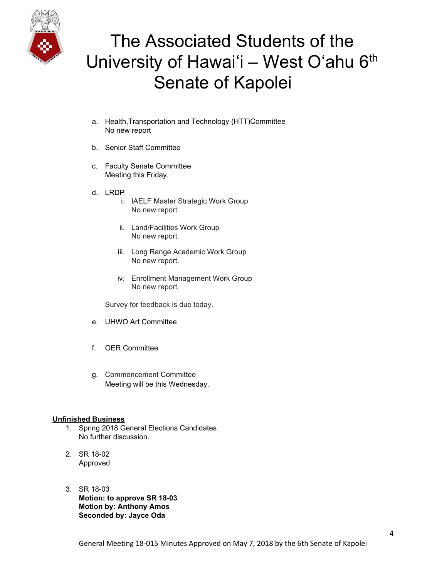

- a. Health,Transportation and Technology (HTT)Committee No new report
- b. Senior Staff Committee
- c. Faculty Senate Committee Meeting this Friday.
- d. LRDP
	- i. IAELF Master Strategic Work Group No new report.
	- ii. Land/Facilities Work Group No new report.
	- iii. Long Range Academic Work Group No new report.
	- iv. Enrollment Management Work Group No new report.

Survey for feedback is due today.

- e. UHWO Art Committee
- f. OER Committee
- g. Commencement Committee Meeting will be this Wednesday.

## **Unfinished Business**

- 1. Spring 2018 General Elections Candidates No further discussion.
- 2. SR 18-02 Approved
- 3. SR 18-03 **Motion: to approve SR 18-03 Motion by: Anthony Amos Seconded by: Jayce Oda**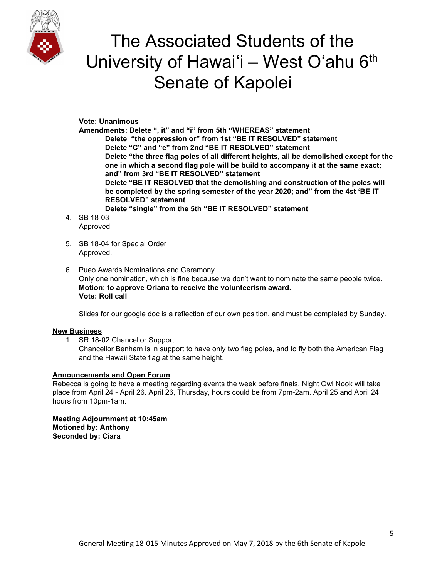

**Vote: Unanimous**

**Amendments: Delete ", it" and "i" from 5th "WHEREAS" statement Delete "the oppression or" from 1st "BE IT RESOLVED" statement Delete "C" and "e" from 2nd "BE IT RESOLVED" statement Delete "the three flag poles of all different heights, all be demolished except for the one in which a second flag pole will be build to accompany it at the same exact; and" from 3rd "BE IT RESOLVED" statement Delete "BE IT RESOLVED that the demolishing and construction of the poles will be completed by the spring semester of the year 2020; and" from the 4st 'BE IT RESOLVED" statement Delete "single" from the 5th "BE IT RESOLVED" statement**

- 4. SB 18-03 Approved
- 5. SB 18-04 for Special Order Approved.
- 6. Pueo Awards Nominations and Ceremony Only one nomination, which is fine because we don't want to nominate the same people twice. **Motion: to approve Oriana to receive the volunteerism award. Vote: Roll call**

Slides for our google doc is a reflection of our own position, and must be completed by Sunday.

## **New Business**

1. SR 18-02 Chancellor Support Chancellor Benham is in support to have only two flag poles, and to fly both the American Flag

and the Hawaii State flag at the same height.

## **Announcements and Open Forum**

Rebecca is going to have a meeting regarding events the week before finals. Night Owl Nook will take place from April 24 - April 26. April 26, Thursday, hours could be from 7pm-2am. April 25 and April 24 hours from 10pm-1am.

**Meeting Adjournment at 10:45am Motioned by: Anthony Seconded by: Ciara**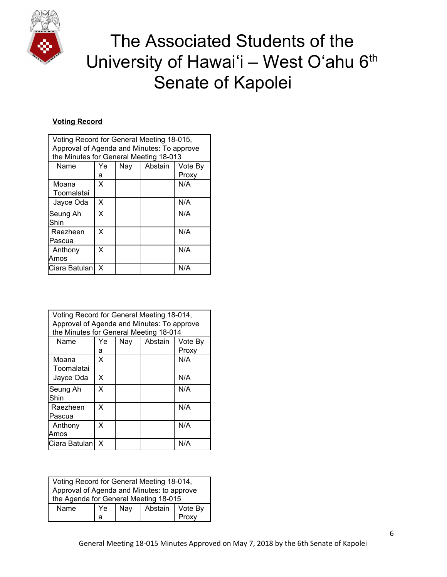

## **Voting Record**

| Voting Record for General Meeting 18-015,  |    |     |         |         |
|--------------------------------------------|----|-----|---------|---------|
| Approval of Agenda and Minutes: To approve |    |     |         |         |
| the Minutes for General Meeting 18-013     |    |     |         |         |
| Name                                       | Ye | Nay | Abstain | Vote By |
|                                            | а  |     |         | Proxy   |
| Moana                                      | X  |     |         | N/A     |
| Toomalatai                                 |    |     |         |         |
| Jayce Oda                                  | X  |     |         | N/A     |
| Seung Ah<br>Shin                           | X  |     |         | N/A     |
| Raezheen                                   | X  |     |         | N/A     |
| Pascua                                     |    |     |         |         |
| Anthony                                    | X  |     |         | N/A     |
| Amos                                       |    |     |         |         |
| Ciara Batulan                              | X  |     |         | N/A     |

| Voting Record for General Meeting 18-014,<br>Approval of Agenda and Minutes: To approve<br>the Minutes for General Meeting 18-014 |    |     |         |         |
|-----------------------------------------------------------------------------------------------------------------------------------|----|-----|---------|---------|
| Name                                                                                                                              | Ye | Nay | Abstain | Vote By |
|                                                                                                                                   | а  |     |         | Proxy   |
| Moana                                                                                                                             | X  |     |         | N/A     |
| Toomalatai                                                                                                                        |    |     |         |         |
| Jayce Oda                                                                                                                         | X  |     |         | N/A     |
| Seung Ah<br>Shin                                                                                                                  | X  |     |         | N/A     |
| Raezheen                                                                                                                          | X  |     |         | N/A     |
| Pascua                                                                                                                            |    |     |         |         |
| Anthony                                                                                                                           | X  |     |         | N/A     |
| Amos                                                                                                                              |    |     |         |         |
| lCiara Batulan l                                                                                                                  | x  |     |         | N/A     |

| Voting Record for General Meeting 18-014,  |    |     |                   |       |
|--------------------------------------------|----|-----|-------------------|-------|
| Approval of Agenda and Minutes: to approve |    |     |                   |       |
| the Agenda for General Meeting 18-015      |    |     |                   |       |
| Name                                       | Ye | Nay | Abstain   Vote By |       |
|                                            | а  |     |                   | Proxy |